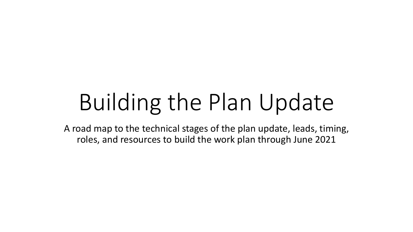# Building the Plan Update

A road map to the technical stages of the plan update, leads, timing, roles, and resources to build the work plan through June 2021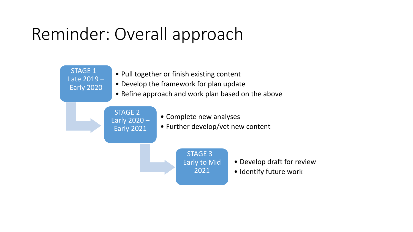## Reminder: Overall approach

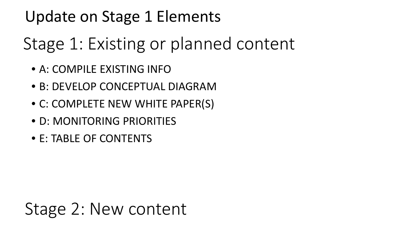#### Update on Stage 1 Elements

# Stage 1: Existing or planned content

- A: COMPILE EXISTING INFO
- B: DEVELOP CONCEPTUAL DIAGRAM
- C: COMPLETE NEW WHITE PAPER(S)
- D: MONITORING PRIORITIES
- E: TABLE OF CONTENTS

#### Stage 2: New content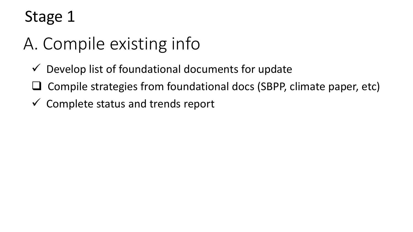# A. Compile existing info

- $\checkmark$  Develop list of foundational documents for update
- Compile strategies from foundational docs (SBPP, climate paper, etc)
- $\checkmark$  Complete status and trends report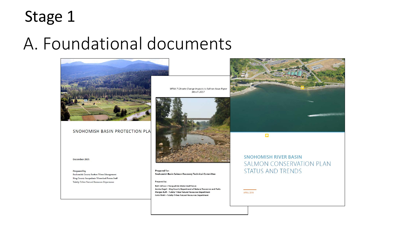#### A. Foundational documents



Colin Wahl - Tulalip Tribes Natural Resources Department

**APRIL 2019**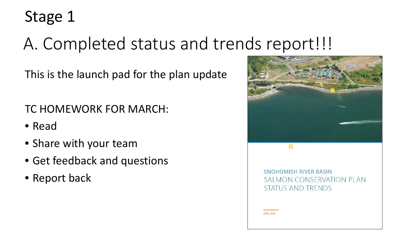## A. Completed status and trends report!!!

This is the launch pad for the plan update

TC HOMEWORK FOR MARCH:

- Read
- Share with your team
- Get feedback and questions
- Report back

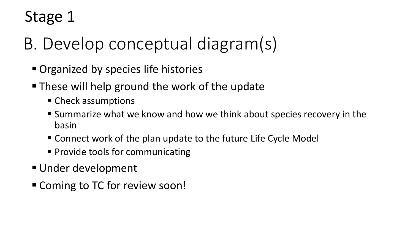- B. Develop conceptual diagram(s)
	- **Organized by species life histories**
	- These will help ground the work of the update
		- Check assumptions
		- Summarize what we know and how we think about species recovery in the basin
		- Connect work of the plan update to the future Life Cycle Model
		- **Provide tools for communicating**
	- Under development
	- Coming to TC for review soon!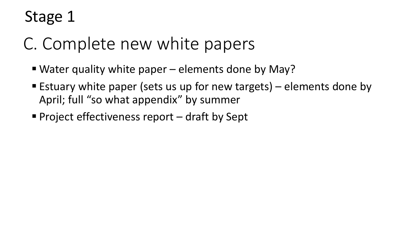## C. Complete new white papers

- Water quality white paper elements done by May?
- **Estuary white paper (sets us up for new targets)** elements done by April; full "so what appendix" by summer
- Project effectiveness report  $-$  draft by Sept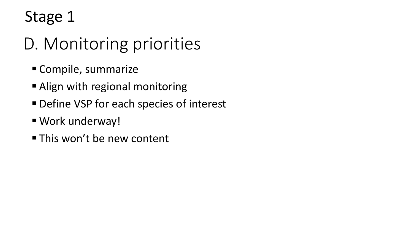# D. Monitoring priorities

- Compile, summarize
- Align with regional monitoring
- Define VSP for each species of interest
- Work underway!
- **This won't be new content**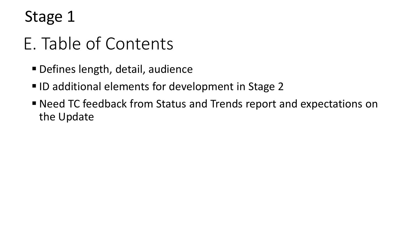### E. Table of Contents

- Defines length, detail, audience
- ID additional elements for development in Stage 2
- Need TC feedback from Status and Trends report and expectations on the Update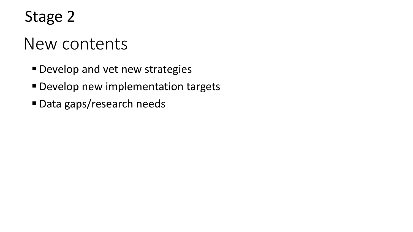#### New contents

- Develop and vet new strategies
- **Develop new implementation targets**
- Data gaps/research needs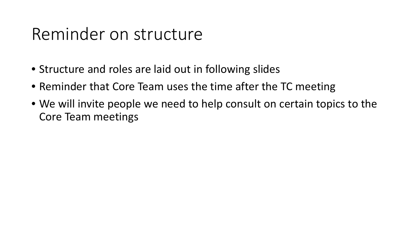#### Reminder on structure

- Structure and roles are laid out in following slides
- Reminder that Core Team uses the time after the TC meeting
- We will invite people we need to help consult on certain topics to the Core Team meetings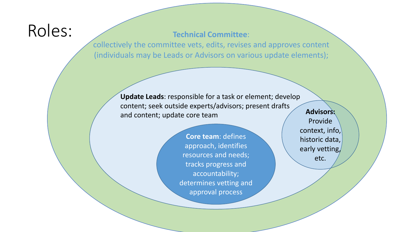#### Roles:

**Technical Committee**:

collectively the committee vets, edits, revises and approves content (individuals may be Leads or Advisors on various update elements);

> **Update Leads**: responsible for a task or element; develop content; seek outside experts/advisors; present drafts and content; update core team

> > **Core team**: defines approach, identifies resources and needs; tracks progress and accountability; determines vetting and approval process

**Advisors:**  Provide context, info, historic data, early vetting/ etc.